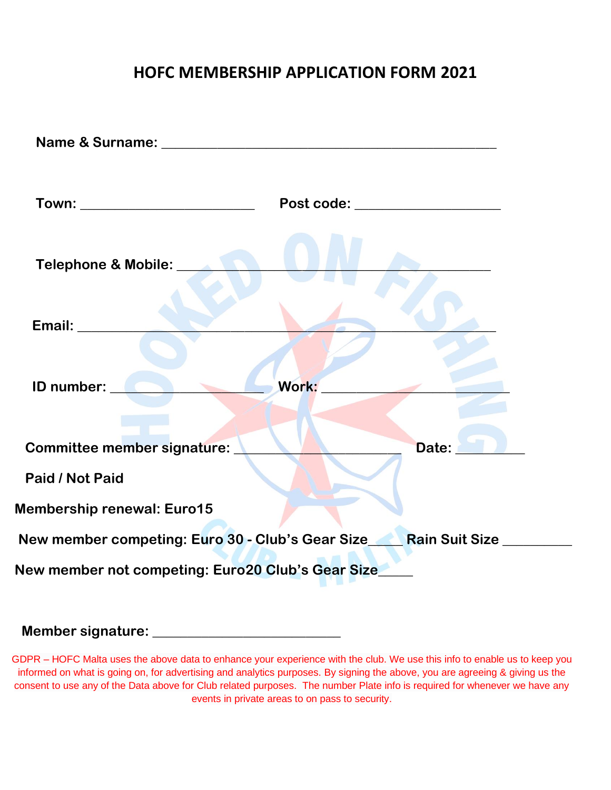## **HOFC MEMBERSHIP APPLICATION FORM 2021**

| Town: ___________________________                  | Post code: __________________                                              |
|----------------------------------------------------|----------------------------------------------------------------------------|
| Telephone & Mobile: Network                        |                                                                            |
| Email: Email:                                      |                                                                            |
| ID number:<br><b>Communication</b>                 | Work:                                                                      |
| Committee member signature:                        | Date:                                                                      |
| Paid / Not Paid                                    |                                                                            |
| <b>Membership renewal: Euro15</b>                  |                                                                            |
|                                                    | New member competing: Euro 30 - Club's Gear Size_____Rain Suit Size_______ |
| New member not competing: Euro20 Club's Gear Size_ |                                                                            |

## **Member signature: \_\_\_\_\_\_\_\_\_\_\_\_\_\_\_\_\_\_\_\_\_\_\_\_\_\_\_**

GDPR – HOFC Malta uses the above data to enhance your experience with the club. We use this info to enable us to keep you informed on what is going on, for advertising and analytics purposes. By signing the above, you are agreeing & giving us the consent to use any of the Data above for Club related purposes. The number Plate info is required for whenever we have any events in private areas to on pass to security.